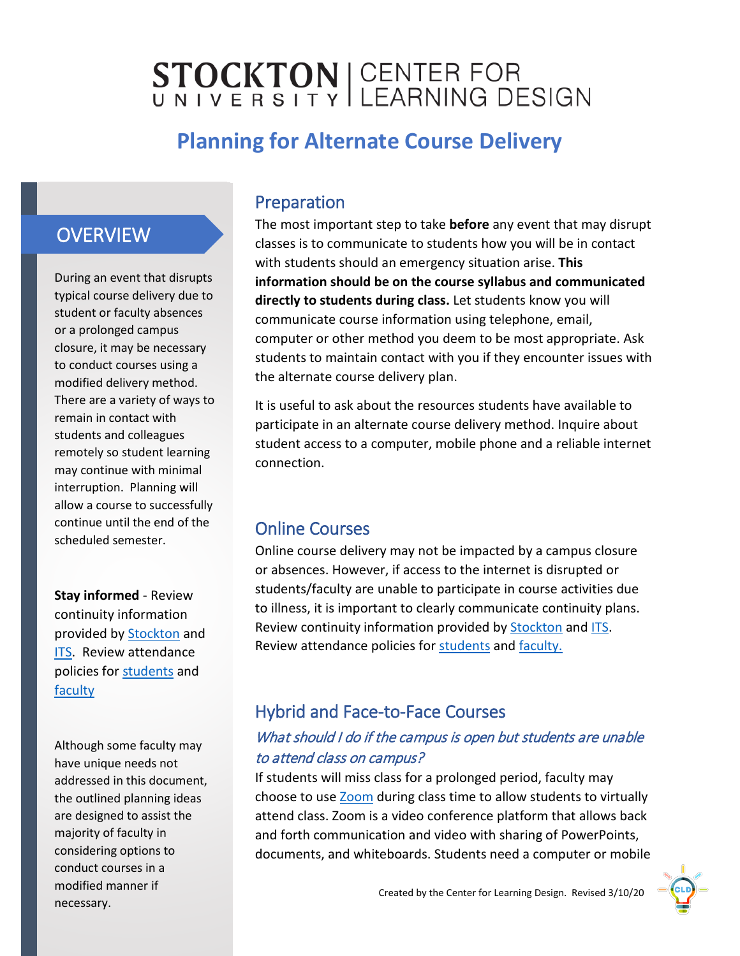# STOCKTON | CENTER FOR

# **Planning for Alternate Course Delivery**

## **OVERVIEW**

During an event that disrupts typical course delivery due to student or faculty absences or a prolonged campus closure, it may be necessary to conduct courses using a modified delivery method. There are a variety of ways to remain in contact with students and colleagues remotely so student learning may continue with minimal interruption. Planning will allow a course to successfully continue until the end of the scheduled semester.

**Stay informed** - Review continuity information provided by [Stockton](https://stockton.edu/emergency-management/coronavirus.html) and [ITS.](https://stockton.edu/information-technology/instructional-continuity-planning/index.html) Review attendance policies for [students](https://stockton.edu/policy-procedure/documents/procedures/2030.pdf) and **[faculty](https://stockton.edu/policy-procedure/documents/procedures/6120.pdf)** 

Although some faculty may have unique needs not addressed in this document, the outlined planning ideas are designed to assist the majority of faculty in considering options to conduct courses in a modified manner if necessary.

### Preparation

The most important step to take **before** any event that may disrupt classes is to communicate to students how you will be in contact with students should an emergency situation arise. **This information should be on the course syllabus and communicated directly to students during class.** Let students know you will communicate course information using telephone, email, computer or other method you deem to be most appropriate. Ask students to maintain contact with you if they encounter issues with the alternate course delivery plan.

It is useful to ask about the resources students have available to participate in an alternate course delivery method. Inquire about student access to a computer, mobile phone and a reliable internet connection.

### Online Courses

Online course delivery may not be impacted by a campus closure or absences. However, if access to the internet is disrupted or students/faculty are unable to participate in course activities due to illness, it is important to clearly communicate continuity plans. Review continuity information provided by [Stockton](https://stockton.edu/emergency-management/coronavirus.html) and [ITS.](https://stockton.edu/information-technology/instructional-continuity-planning/index.html) Review attendance policies for [students](https://stockton.edu/policy-procedure/documents/procedures/2030.pdf) and [faculty.](https://stockton.edu/policy-procedure/documents/procedures/6120.pdf)

### Hybrid and Face-to-Face Courses

#### What should I do if the campus is open but students are unable to attend class on campus?

If students will miss class for a prolonged period, faculty may choose to use [Zoom](https://zoom.us/) during class time to allow students to virtually attend class. Zoom is a video conference platform that allows back and forth communication and video with sharing of PowerPoints, documents, and whiteboards. Students need a computer or mobile

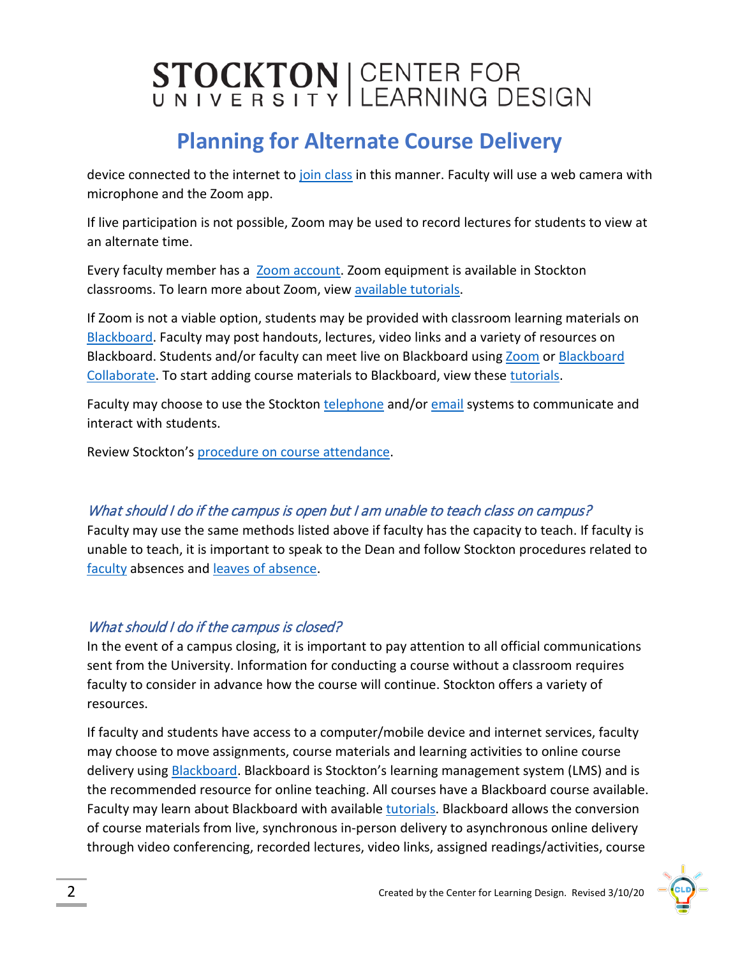# STOCKTON CENTER FOR

# **Planning for Alternate Course Delivery**

device connected to the internet t[o join class](https://www.youtube.com/watch?time_continue=11&v=VnyitUU4DUY&feature=emb_logo) in this manner. Faculty will use a web camera with microphone and the Zoom app.

If live participation is not possible, Zoom may be used to record lectures for students to view at an alternate time.

Every faculty member has a [Zoom account.](https://stockton.zoom.us/) Zoom equipment is available in Stockton classrooms. To learn more about Zoom, vie[w available tutorials.](https://support.zoom.us/hc/en-us)

If Zoom is not a viable option, students may be provided with classroom learning materials on [Blackboard.](https://stockton.edu/blackboard-tutorial/) Faculty may post handouts, lectures, video links and a variety of resources on Blackboard. Students and/or faculty can meet live on Blackboard usin[g Zoom](https://stockton.edu/cld/cld-continuity-planning.html) or [Blackboard](https://help.blackboard.com/Collaborate/Ultra) [Collaborate.](https://help.blackboard.com/Collaborate/Ultra) To start adding course materials to Blackboard, view these [tutorials.](https://stockton.edu/blackboard-tutorial/instructor-tutorials/building-courses.html)

Faculty may choose to use the Stockton [telephone](https://stockton.edu/information-technology/instructional-continuity-planning/voicemail.html) and/or [email](https://stockton.edu/information-technology/instructional-continuity-planning/email-distribution-lists.html) systems to communicate and interact with students.

Review Stockton's [procedure on course attendance.](https://stockton.edu/policy-procedure/documents/procedures/2030.pdf)

#### What should I do if the campus is open but I am unable to teach class on campus?

Faculty may use the same methods listed above if faculty has the capacity to teach. If faculty is unable to teach, it is important to speak to the Dean and follow Stockton procedures related to [faculty](https://stockton.edu/policy-procedure/documents/procedures/6120.pdf) absences and [leaves of absence.](https://www.stockton.edu/policy-procedure/documents/procedures/6153.pdf)

#### What should I do if the campus is closed?

In the event of a campus closing, it is important to pay attention to all official communications sent from the University. Information for conducting a course without a classroom requires faculty to consider in advance how the course will continue. Stockton offers a variety of resources.

If faculty and students have access to a computer/mobile device and internet services, faculty may choose to move assignments, course materials and learning activities to online course delivery using [Blackboard.](https://stockton.edu/blackboard-tutorial/) Blackboard is Stockton's learning management system (LMS) and is the recommended resource for online teaching. All courses have a Blackboard course available. Faculty may learn about Blackboard with available [tutorials.](https://stockton.edu/blackboard-tutorial/instructor-tutorials/index.html) Blackboard allows the conversion of course materials from live, synchronous in-person delivery to asynchronous online delivery through video conferencing, recorded lectures, video links, assigned readings/activities, course

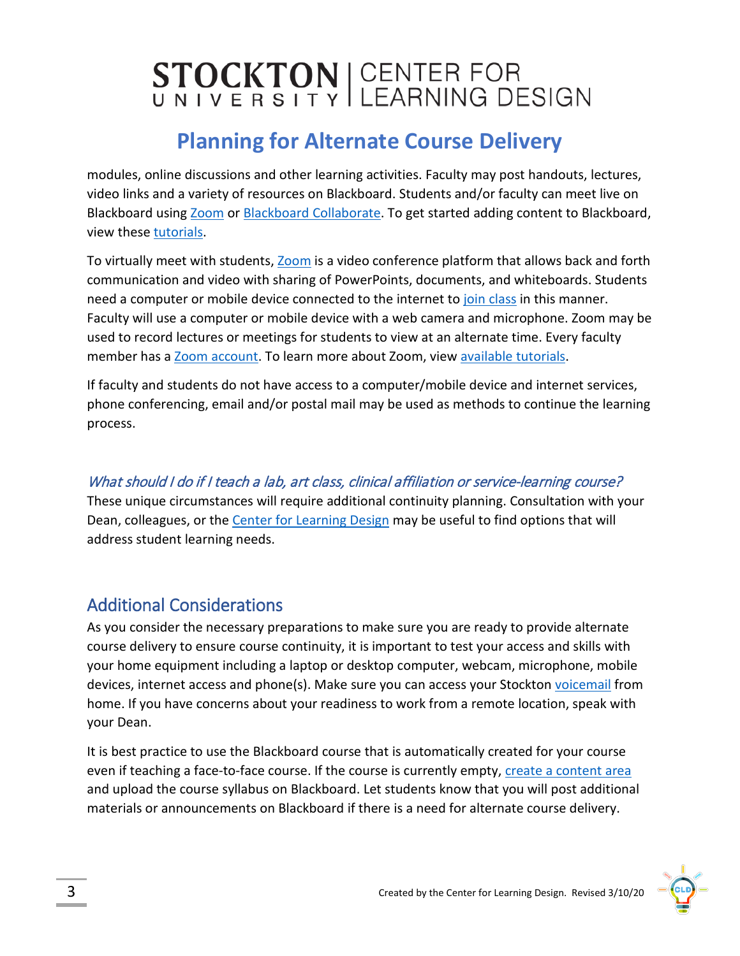# STOCKTON CENTER FOR

# **Planning for Alternate Course Delivery**

modules, online discussions and other learning activities. Faculty may post handouts, lectures, video links and a variety of resources on Blackboard. Students and/or faculty can meet live on Blackboard using [Zoom](https://stockton.edu/cld/cld-continuity-planning.html) or [Blackboard Collaborate.](https://help.blackboard.com/Collaborate/Ultra) To get started adding content to Blackboard, view these [tutorials.](https://stockton.edu/blackboard-tutorial/instructor-tutorials/building-courses.html)

To virtually meet with students, [Zoom](https://stockton.zoom.us/) is a video conference platform that allows back and forth communication and video with sharing of PowerPoints, documents, and whiteboards. Students need a computer or mobile device connected to the internet to [join class](https://www.youtube.com/watch?v=VnyitUU4DUY) in this manner. Faculty will use a computer or mobile device with a web camera and microphone. Zoom may be used to record lectures or meetings for students to view at an alternate time. Every faculty member has a [Zoom account.](https://stockton.zoom.us/) To learn more about Zoom, view [available tutorials.](https://support.zoom.us/hc/en-us)

If faculty and students do not have access to a computer/mobile device and internet services, phone conferencing, email and/or postal mail may be used as methods to continue the learning process.

#### What should I do if I teach a lab, art class, clinical affiliation or service-learning course?

These unique circumstances will require additional continuity planning. Consultation with your Dean, colleagues, or the [Center for Learning Design](https://stockton.edu/cld/index.html) may be useful to find options that will address student learning needs.

## Additional Considerations

As you consider the necessary preparations to make sure you are ready to provide alternate course delivery to ensure course continuity, it is important to test your access and skills with your home equipment including a laptop or desktop computer, webcam, microphone, mobile devices, internet access and phone(s). Make sure you can access your Stockton [voicemail](https://stockton.edu/information-technology/instructional-continuity-planning/voicemail.html) from home. If you have concerns about your readiness to work from a remote location, speak with your Dean.

It is best practice to use the Blackboard course that is automatically created for your course even if teaching a face-to-face course. If the course is currently empty, [create a content area](https://stockton.edu/blackboard-tutorial/instructor-tutorials/building-courses.html) and upload the course syllabus on Blackboard. Let students know that you will post additional materials or announcements on Blackboard if there is a need for alternate course delivery.